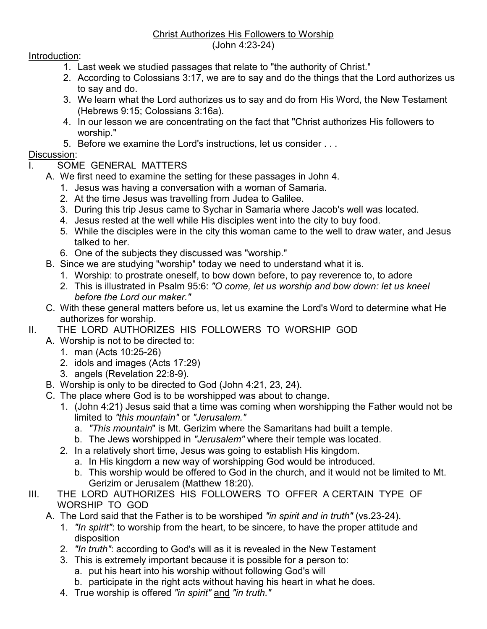## Christ Authorizes His Followers to Worship (John 4:23-24)

## Introduction:

- 1. Last week we studied passages that relate to "the authority of Christ."
- 2. According to Colossians 3:17, we are to say and do the things that the Lord authorizes us to say and do.
- 3. We learn what the Lord authorizes us to say and do from His Word, the New Testament (Hebrews 9:15; Colossians 3:16a).
- 4. In our lesson we are concentrating on the fact that "Christ authorizes His followers to worship."
- 5. Before we examine the Lord's instructions, let us consider . . .

## Discussion:

- SOME GENERAL MATTERS
- A. We first need to examine the setting for these passages in John 4.
	- 1. Jesus was having a conversation with a woman of Samaria.
	- 2. At the time Jesus was travelling from Judea to Galilee.
	- 3. During this trip Jesus came to Sychar in Samaria where Jacob's well was located.
	- 4. Jesus rested at the well while His disciples went into the city to buy food.
	- 5. While the disciples were in the city this woman came to the well to draw water, and Jesus talked to her.
	- 6. One of the subjects they discussed was "worship."
- B. Since we are studying "worship" today we need to understand what it is.
	- 1. Worship: to prostrate oneself, to bow down before, to pay reverence to, to adore
	- 2. This is illustrated in Psalm 95:6: *"O come, let us worship and bow down: let us kneel before the Lord our maker."*
- C. With these general matters before us, let us examine the Lord's Word to determine what He authorizes for worship.
- II. THE LORD AUTHORIZES HIS FOLLOWERS TO WORSHIP GOD
	- A. Worship is not to be directed to:
		- 1. man (Acts 10:25-26)
		- 2. idols and images (Acts 17:29)
		- 3. angels (Revelation 22:8-9).
	- B. Worship is only to be directed to God (John 4:21, 23, 24).
	- C. The place where God is to be worshipped was about to change.
		- 1. (John 4:21) Jesus said that a time was coming when worshipping the Father would not be limited to *"this mountain"* or *"Jerusalem."*
			- a. *"This mountain*" is Mt. Gerizim where the Samaritans had built a temple.
			- b. The Jews worshipped in *"Jerusalem"* where their temple was located.
		- 2. In a relatively short time, Jesus was going to establish His kingdom.
			- a. In His kingdom a new way of worshipping God would be introduced.
			- b. This worship would be offered to God in the church, and it would not be limited to Mt. Gerizim or Jerusalem (Matthew 18:20).
- III. THE LORD AUTHORIZES HIS FOLLOWERS TO OFFER A CERTAIN TYPE OF WORSHIP TO GOD
	- A. The Lord said that the Father is to be worshiped *"in spirit and in truth"* (vs.23-24).
		- 1. *"In spirit"*: to worship from the heart, to be sincere, to have the proper attitude and disposition
		- 2. *"In truth"*: according to God's will as it is revealed in the New Testament
		- 3. This is extremely important because it is possible for a person to:
			- a. put his heart into his worship without following God's will
			- b. participate in the right acts without having his heart in what he does.
		- 4. True worship is offered *"in spirit"* and *"in truth."*